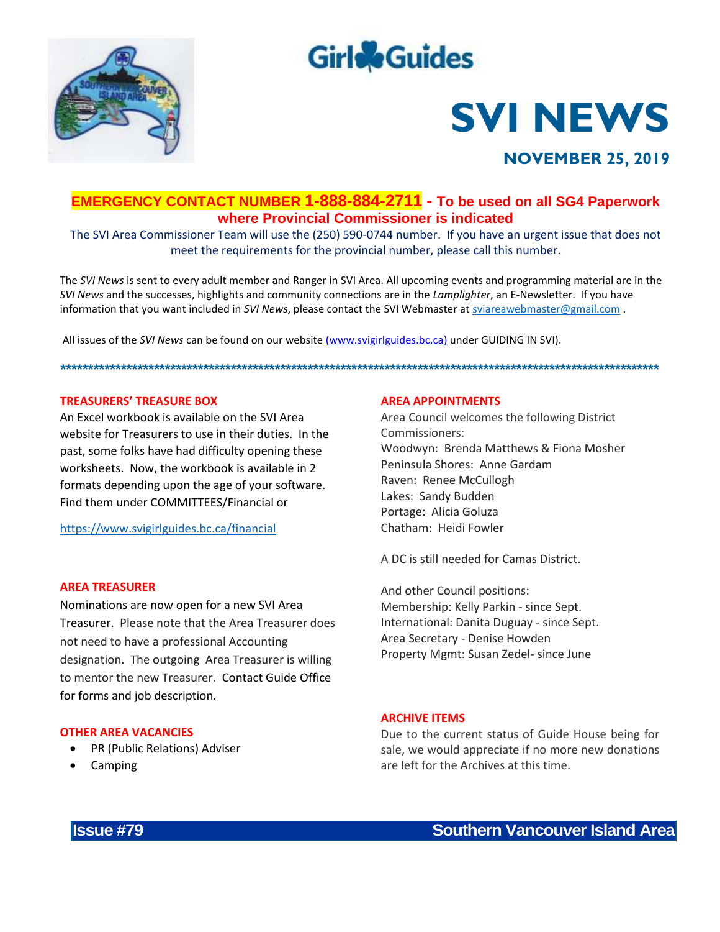

# **Girle**Guides

# **SVI NEWS**

## **NOVEMBER 25, 2019**

### EMERGENCY CONTACT NUMBER 1-888-884-2711 - To be used on all SG4 Paperwork where Provincial Commissioner is indicated

The SVI Area Commissioner Team will use the (250) 590-0744 number. If you have an urgent issue that does not meet the requirements for the provincial number, please call this number.

The SVI News is sent to every adult member and Ranger in SVI Area. All upcoming events and programming material are in the SVI News and the successes, highlights and community connections are in the Lamplighter, an E-Newsletter. If you have information that you want included in SVI News, please contact the SVI Webmaster at sviareawebmaster@gmail.com.

All issues of the SVI News can be found on our website (www.svigirlguides.bc.ca) under GUIDING IN SVI).

#### **TREASURERS' TREASURE BOX**

An Excel workhook is available on the SVLArea website for Treasurers to use in their duties. In the past, some folks have had difficulty opening these worksheets. Now, the workbook is available in 2 formats depending upon the age of your software. Find them under COMMITTEES/Financial or

https://www.svigirlguides.bc.ca/financial

#### **AREA TREASURER**

Nominations are now open for a new SVI Area Treasurer. Please note that the Area Treasurer does not need to have a professional Accounting designation. The outgoing Area Treasurer is willing to mentor the new Treasurer. Contact Guide Office for forms and job description.

#### **OTHER AREA VACANCIES**

- PR (Public Relations) Adviser
- Camping

#### **AREA APPOINTMENTS**

Area Council welcomes the following District Commissioners: Woodwyn: Brenda Matthews & Fiona Mosher Peninsula Shores: Anne Gardam Raven: Renee McCullogh Lakes: Sandy Budden Portage: Alicia Goluza Chatham: Heidi Fowler

A DC is still needed for Camas District.

And other Council positions: Membership: Kelly Parkin - since Sept. International: Danita Duguay - since Sept. Area Secretary - Denise Howden Property Mgmt: Susan Zedel- since June

#### **ARCHIVE ITEMS**

Due to the current status of Guide House being for sale, we would appreciate if no more new donations are left for the Archives at this time.

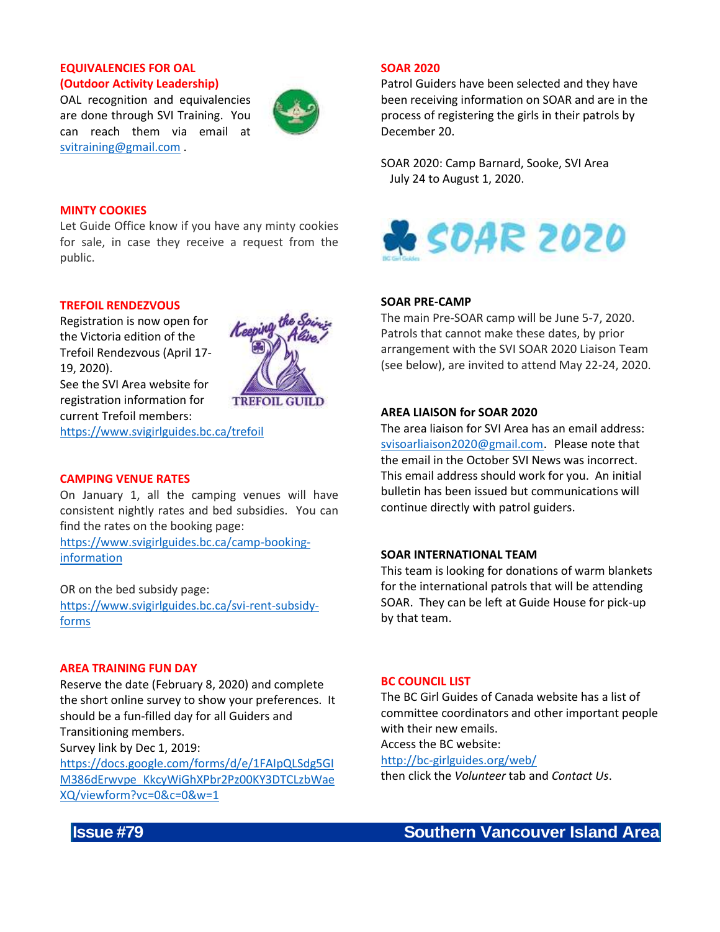#### **EQUIVALENCIES FOR OAL (Outdoor Activity Leadership)**

OAL recognition and equivalencies are done through SVI Training. You can reach them via email at [svitraining@gmail.com](mailto:svitraining@gmail.com) .



**TREFOIL GUILD** 

#### **MINTY COOKIES**

Let Guide Office know if you have any minty cookies for sale, in case they receive a request from the public.

#### **TREFOIL RENDEZVOUS**

Registration is now open for the Victoria edition of the Trefoil Rendezvous (April 17- 19, 2020).

See the SVI Area website for registration information for current Trefoil members:

<https://www.svigirlguides.bc.ca/trefoil>

#### **CAMPING VENUE RATES**

On January 1, all the camping venues will have consistent nightly rates and bed subsidies. You can find the rates on the booking page:

[https://www.svigirlguides.bc.ca/camp-booking](https://www.svigirlguides.bc.ca/camp-booking-information)[information](https://www.svigirlguides.bc.ca/camp-booking-information)

OR on the bed subsidy page: [https://www.svigirlguides.bc.ca/svi-rent-subsidy](https://www.svigirlguides.bc.ca/svi-rent-subsidy-forms)[forms](https://www.svigirlguides.bc.ca/svi-rent-subsidy-forms)

#### **AREA TRAINING FUN DAY**

Reserve the date (February 8, 2020) and complete the short online survey to show your preferences. It should be a fun-filled day for all Guiders and Transitioning members. Survey link by Dec 1, 2019: [https://docs.google.com/forms/d/e/1FAIpQLSdg5GI](https://docs.google.com/forms/d/e/1FAIpQLSdg5GIM386dErwvpe_KkcyWiGhXPbr2Pz00KY3DTCLzbWaeXQ/viewform?vc=0&c=0&w=1)

[M386dErwvpe\\_KkcyWiGhXPbr2Pz00KY3DTCLzbWae](https://docs.google.com/forms/d/e/1FAIpQLSdg5GIM386dErwvpe_KkcyWiGhXPbr2Pz00KY3DTCLzbWaeXQ/viewform?vc=0&c=0&w=1) [XQ/viewform?vc=0&c=0&w=1](https://docs.google.com/forms/d/e/1FAIpQLSdg5GIM386dErwvpe_KkcyWiGhXPbr2Pz00KY3DTCLzbWaeXQ/viewform?vc=0&c=0&w=1)

#### **SOAR 2020**

Patrol Guiders have been selected and they have been receiving information on SOAR and are in the process of registering the girls in their patrols by December 20.

SOAR 2020: Camp Barnard, Sooke, SVI Area July 24 to August 1, 2020.



#### **SOAR PRE-CAMP**

The main Pre-SOAR camp will be June 5-7, 2020. Patrols that cannot make these dates, by prior arrangement with the SVI SOAR 2020 Liaison Team (see below), are invited to attend May 22-24, 2020.

#### **AREA LIAISON for SOAR 2020**

The area liaison for SVI Area has an email address: [svisoarliaison2020@gmail.com](mailto:svisoarliaison2020@gmail.com). Please note that the email in the October SVI News was incorrect. This email address should work for you. An initial bulletin has been issued but communications will continue directly with patrol guiders.

#### **SOAR INTERNATIONAL TEAM**

This team is looking for donations of warm blankets for the international patrols that will be attending SOAR. They can be left at Guide House for pick-up by that team.

#### **BC COUNCIL LIST**

The BC Girl Guides of Canada website has a list of committee coordinators and other important people with their new emails.

Access the BC website:

<http://bc-girlguides.org/web/>

then click the *Volunteer* tab and *Contact Us*.